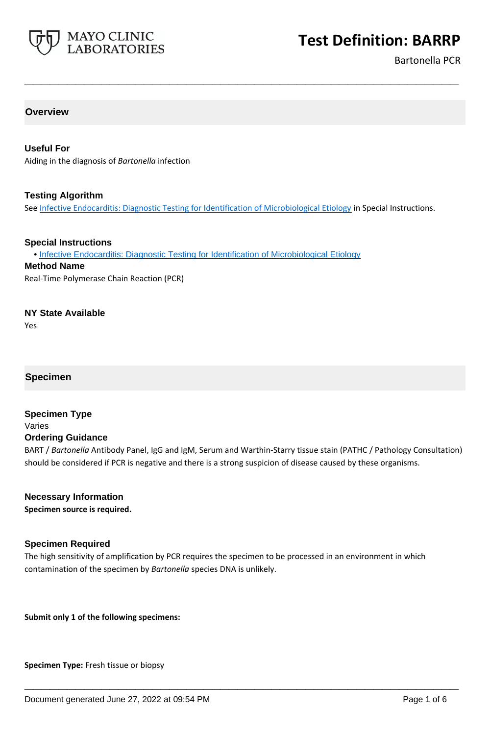

Bartonella PCR

# **Overview**

## **Useful For**

Aiding in the diagnosis of *Bartonella* infection

### **Testing Algorithm**

See [Infective Endocarditis: Diagnostic Testing for Identification of Microbiological Etiology](https://www.mayocliniclabs.com/it-mmfiles/Infectious_Endocarditis_Diagnostic_Testing_for_Identification_of_Microbiological_Etiology.pdf) in Special Instructions.

**\_\_\_\_\_\_\_\_\_\_\_\_\_\_\_\_\_\_\_\_\_\_\_\_\_\_\_\_\_\_\_\_\_\_\_\_\_\_\_\_\_\_\_\_\_\_\_\_\_\_\_**

#### **Special Instructions**

• [Infective Endocarditis: Diagnostic Testing for Identification of Microbiological Etiology](https://www.mayocliniclabs.com/it-mmfiles/Infectious_Endocarditis_Diagnostic_Testing_for_Identification_of_Microbiological_Etiology.pdf)

#### **Method Name**

Real-Time Polymerase Chain Reaction (PCR)

### **NY State Available**

Yes

# **Specimen**

#### **Specimen Type** Varies

## **Ordering Guidance**

BART / *Bartonella* Antibody Panel, IgG and IgM, Serum and Warthin-Starry tissue stain (PATHC / Pathology Consultation) should be considered if PCR is negative and there is a strong suspicion of disease caused by these organisms.

#### **Necessary Information**

**Specimen source is required.**

# **Specimen Required**

The high sensitivity of amplification by PCR requires the specimen to be processed in an environment in which contamination of the specimen by *Bartonella* species DNA is unlikely.

**\_\_\_\_\_\_\_\_\_\_\_\_\_\_\_\_\_\_\_\_\_\_\_\_\_\_\_\_\_\_\_\_\_\_\_\_\_\_\_\_\_\_\_\_\_\_\_\_\_\_\_**

**Submit only 1 of the following specimens:**

**Specimen Type:** Fresh tissue or biopsy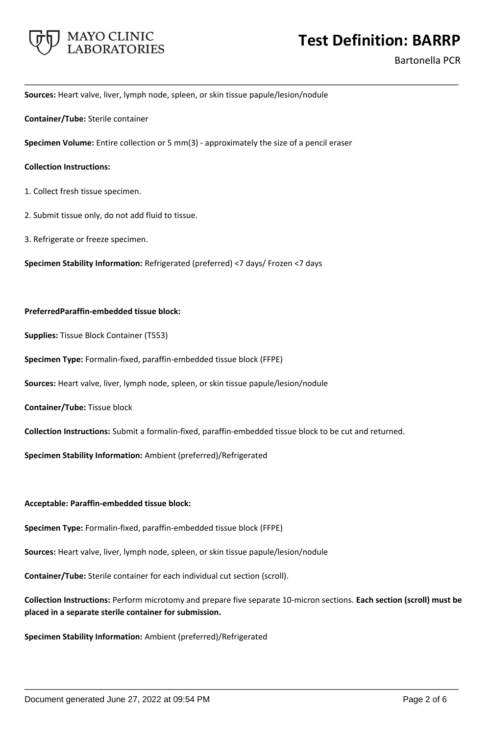

Bartonella PCR

**Sources:** Heart valve, liver, lymph node, spleen, or skin tissue papule/lesion/nodule

**Container/Tube:** Sterile container

**Specimen Volume:** Entire collection or 5 mm(3) - approximately the size of a pencil eraser

**\_\_\_\_\_\_\_\_\_\_\_\_\_\_\_\_\_\_\_\_\_\_\_\_\_\_\_\_\_\_\_\_\_\_\_\_\_\_\_\_\_\_\_\_\_\_\_\_\_\_\_**

#### **Collection Instructions:**

- 1. Collect fresh tissue specimen.
- 2. Submit tissue only, do not add fluid to tissue.
- 3. Refrigerate or freeze specimen.

**Specimen Stability Information:** Refrigerated (preferred) <7 days/ Frozen <7 days

#### **PreferredParaffin-embedded tissue block:**

**Supplies:** Tissue Block Container (T553)

**Specimen Type:** Formalin-fixed, paraffin-embedded tissue block (FFPE)

**Sources:** Heart valve, liver, lymph node, spleen, or skin tissue papule/lesion/nodule

**Container/Tube:** Tissue block

**Collection Instructions:** Submit a formalin-fixed, paraffin-embedded tissue block to be cut and returned.

**Specimen Stability Information:** Ambient (preferred)/Refrigerated

#### **Acceptable: Paraffin-embedded tissue block:**

**Specimen Type:** Formalin-fixed, paraffin-embedded tissue block (FFPE)

**Sources:** Heart valve, liver, lymph node, spleen, or skin tissue papule/lesion/nodule

**Container/Tube:** Sterile container for each individual cut section (scroll).

**Collection Instructions:** Perform microtomy and prepare five separate 10-micron sections. **Each section (scroll) must be placed in a separate sterile container for submission.**

**\_\_\_\_\_\_\_\_\_\_\_\_\_\_\_\_\_\_\_\_\_\_\_\_\_\_\_\_\_\_\_\_\_\_\_\_\_\_\_\_\_\_\_\_\_\_\_\_\_\_\_**

**Specimen Stability Information:** Ambient (preferred)/Refrigerated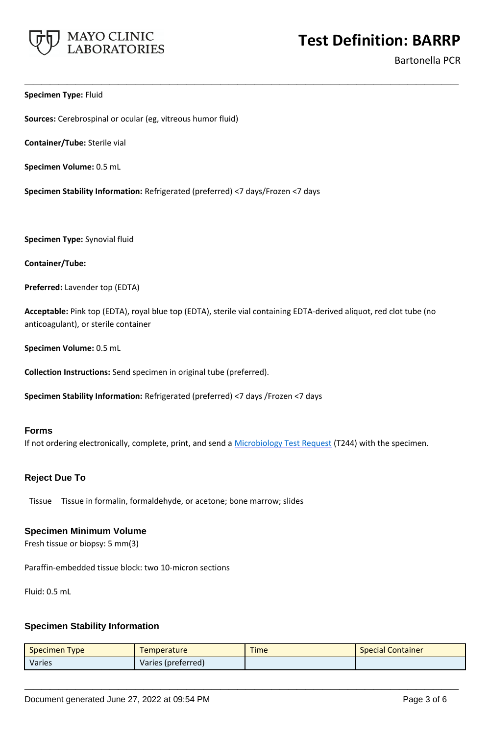

Bartonella PCR

#### **Specimen Type:** Fluid

**Sources:** Cerebrospinal or ocular (eg, vitreous humor fluid)

**Container/Tube:** Sterile vial

**Specimen Volume:** 0.5 mL

**Specimen Stability Information:** Refrigerated (preferred) <7 days/Frozen <7 days

**Specimen Type:** Synovial fluid

**Container/Tube:**

**Preferred:** Lavender top (EDTA)

**Acceptable:** Pink top (EDTA), royal blue top (EDTA), sterile vial containing EDTA-derived aliquot, red clot tube (no anticoagulant), or sterile container

**\_\_\_\_\_\_\_\_\_\_\_\_\_\_\_\_\_\_\_\_\_\_\_\_\_\_\_\_\_\_\_\_\_\_\_\_\_\_\_\_\_\_\_\_\_\_\_\_\_\_\_**

**Specimen Volume:** 0.5 mL

**Collection Instructions:** Send specimen in original tube (preferred).

**Specimen Stability Information:** Refrigerated (preferred) <7 days /Frozen <7 days

#### **Forms**

If not ordering electronically, complete, print, and send a [Microbiology Test Request](https://www.mayocliniclabs.com/it-mmfiles/Microbiology_Test_Request_Form.pdf) (T244) with the specimen.

#### **Reject Due To**

Tissue Tissue in formalin, formaldehyde, or acetone; bone marrow; slides

#### **Specimen Minimum Volume**

Fresh tissue or biopsy: 5 mm(3)

Paraffin-embedded tissue block: two 10-micron sections

Fluid: 0.5 mL

# **Specimen Stability Information**

| <b>Specimen Type</b> | <b>Temperature</b> | <b>Time</b> | <b>Special Container</b> |
|----------------------|--------------------|-------------|--------------------------|
| Varies               | Varies (preferred) |             |                          |

**\_\_\_\_\_\_\_\_\_\_\_\_\_\_\_\_\_\_\_\_\_\_\_\_\_\_\_\_\_\_\_\_\_\_\_\_\_\_\_\_\_\_\_\_\_\_\_\_\_\_\_**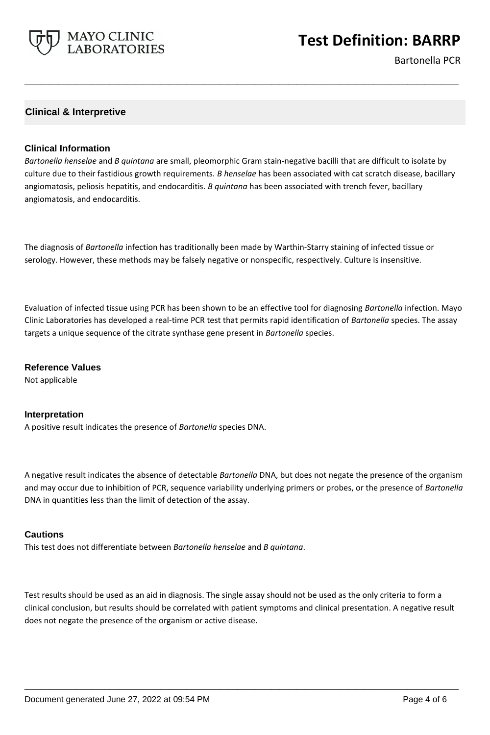

Bartonella PCR

# **Clinical & Interpretive**

### **Clinical Information**

*Bartonella henselae* and *B quintana* are small, pleomorphic Gram stain-negative bacilli that are difficult to isolate by culture due to their fastidious growth requirements. *B henselae* has been associated with cat scratch disease, bacillary angiomatosis, peliosis hepatitis, and endocarditis. *B quintana* has been associated with trench fever, bacillary angiomatosis, and endocarditis.

**\_\_\_\_\_\_\_\_\_\_\_\_\_\_\_\_\_\_\_\_\_\_\_\_\_\_\_\_\_\_\_\_\_\_\_\_\_\_\_\_\_\_\_\_\_\_\_\_\_\_\_**

The diagnosis of *Bartonella* infection has traditionally been made by Warthin-Starry staining of infected tissue or serology. However, these methods may be falsely negative or nonspecific, respectively. Culture is insensitive.

Evaluation of infected tissue using PCR has been shown to be an effective tool for diagnosing *Bartonella* infection. Mayo Clinic Laboratories has developed a real-time PCR test that permits rapid identification of *Bartonella* species. The assay targets a unique sequence of the citrate synthase gene present in *Bartonella* species.

**Reference Values** Not applicable

#### **Interpretation**

A positive result indicates the presence of *Bartonella* species DNA.

A negative result indicates the absence of detectable *Bartonella* DNA, but does not negate the presence of the organism and may occur due to inhibition of PCR, sequence variability underlying primers or probes, or the presence of *Bartonella*  DNA in quantities less than the limit of detection of the assay.

#### **Cautions**

This test does not differentiate between *Bartonella henselae* and *B quintana*.

Test results should be used as an aid in diagnosis. The single assay should not be used as the only criteria to form a clinical conclusion, but results should be correlated with patient symptoms and clinical presentation. A negative result does not negate the presence of the organism or active disease.

**\_\_\_\_\_\_\_\_\_\_\_\_\_\_\_\_\_\_\_\_\_\_\_\_\_\_\_\_\_\_\_\_\_\_\_\_\_\_\_\_\_\_\_\_\_\_\_\_\_\_\_**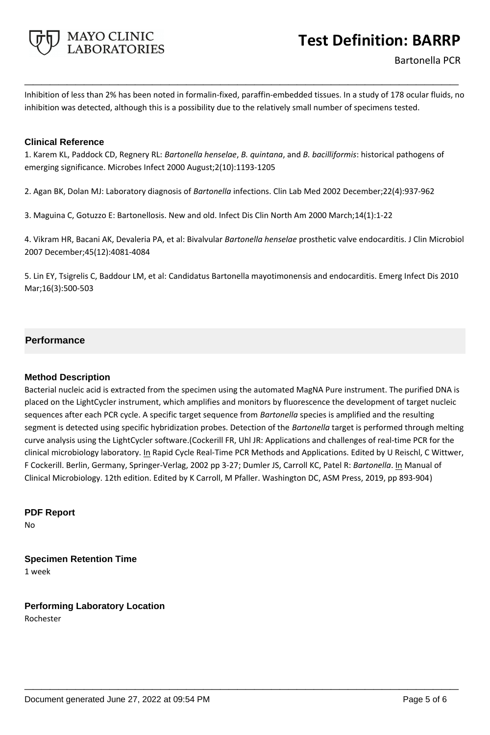

Inhibition of less than 2% has been noted in formalin-fixed, paraffin-embedded tissues. In a study of 178 ocular fluids, no inhibition was detected, although this is a possibility due to the relatively small number of specimens tested.

**\_\_\_\_\_\_\_\_\_\_\_\_\_\_\_\_\_\_\_\_\_\_\_\_\_\_\_\_\_\_\_\_\_\_\_\_\_\_\_\_\_\_\_\_\_\_\_\_\_\_\_**

# **Clinical Reference**

1. Karem KL, Paddock CD, Regnery RL: *Bartonella henselae*, *B. quintana*, and *B. bacilliformis*: historical pathogens of emerging significance. Microbes Infect 2000 August;2(10):1193-1205

2. Agan BK, Dolan MJ: Laboratory diagnosis of *Bartonella* infections. Clin Lab Med 2002 December;22(4):937-962

3. Maguina C, Gotuzzo E: Bartonellosis. New and old. Infect Dis Clin North Am 2000 March;14(1):1-22

4. Vikram HR, Bacani AK, Devaleria PA, et al: Bivalvular *Bartonella henselae* prosthetic valve endocarditis. J Clin Microbiol 2007 December;45(12):4081-4084

5. Lin EY, Tsigrelis C, Baddour LM, et al: Candidatus Bartonella mayotimonensis and endocarditis. Emerg Infect Dis 2010 Mar;16(3):500-503

# **Performance**

# **Method Description**

Bacterial nucleic acid is extracted from the specimen using the automated MagNA Pure instrument. The purified DNA is placed on the LightCycler instrument, which amplifies and monitors by fluorescence the development of target nucleic sequences after each PCR cycle. A specific target sequence from *Bartonella* species is amplified and the resulting segment is detected using specific hybridization probes. Detection of the *Bartonella* target is performed through melting curve analysis using the LightCycler software.(Cockerill FR, Uhl JR: Applications and challenges of real-time PCR for the clinical microbiology laboratory. In Rapid Cycle Real-Time PCR Methods and Applications. Edited by U Reischl, C Wittwer, F Cockerill. Berlin, Germany, Springer-Verlag, 2002 pp 3-27; Dumler JS, Carroll KC, Patel R: *Bartonella*. In Manual of Clinical Microbiology. 12th edition. Edited by K Carroll, M Pfaller. Washington DC, ASM Press, 2019, pp 893-904)

**\_\_\_\_\_\_\_\_\_\_\_\_\_\_\_\_\_\_\_\_\_\_\_\_\_\_\_\_\_\_\_\_\_\_\_\_\_\_\_\_\_\_\_\_\_\_\_\_\_\_\_**

**PDF Report** No

**Specimen Retention Time**

1 week

**Performing Laboratory Location** Rochester